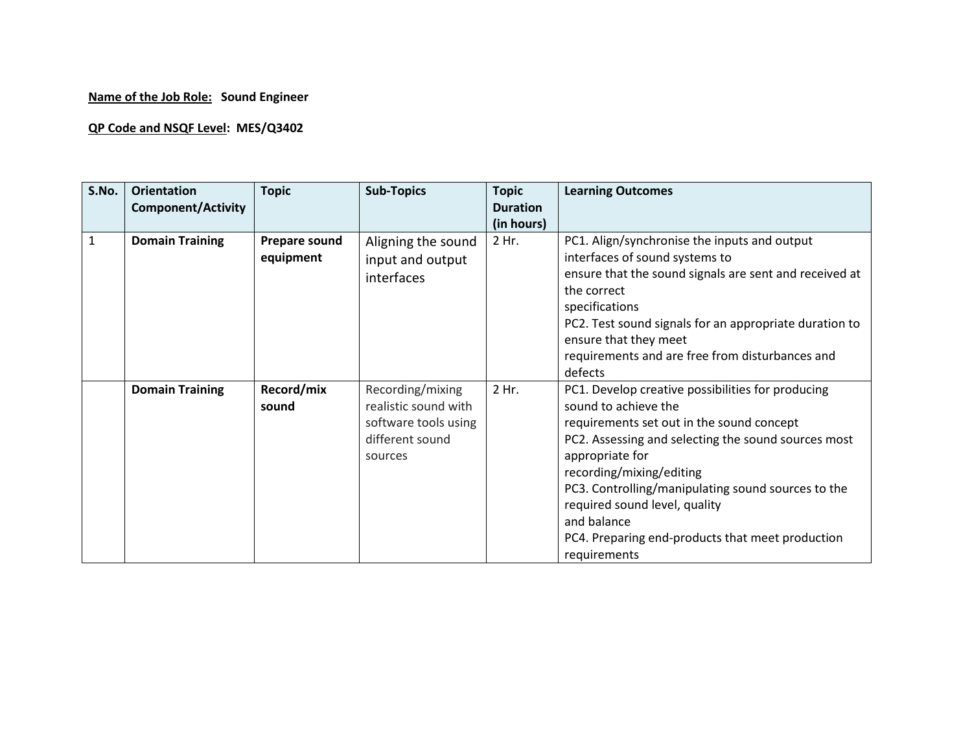## **Name of the Job Role: Sound Engineer**

## **QP Code and NSQF Level: MES/Q3402**

| S.No. | <b>Orientation</b><br><b>Component/Activity</b> | <b>Topic</b>                      | <b>Sub-Topics</b>                                                                              | <b>Topic</b><br><b>Duration</b><br>(in hours) | <b>Learning Outcomes</b>                                                                                                                                                                                                                                                                                                                                                                               |
|-------|-------------------------------------------------|-----------------------------------|------------------------------------------------------------------------------------------------|-----------------------------------------------|--------------------------------------------------------------------------------------------------------------------------------------------------------------------------------------------------------------------------------------------------------------------------------------------------------------------------------------------------------------------------------------------------------|
| $1\,$ | <b>Domain Training</b>                          | <b>Prepare sound</b><br>equipment | Aligning the sound<br>input and output<br>interfaces                                           | 2 Hr.                                         | PC1. Align/synchronise the inputs and output<br>interfaces of sound systems to<br>ensure that the sound signals are sent and received at<br>the correct<br>specifications<br>PC2. Test sound signals for an appropriate duration to<br>ensure that they meet<br>requirements and are free from disturbances and<br>defects                                                                             |
|       | <b>Domain Training</b>                          | Record/mix<br>sound               | Recording/mixing<br>realistic sound with<br>software tools using<br>different sound<br>sources | 2 Hr.                                         | PC1. Develop creative possibilities for producing<br>sound to achieve the<br>requirements set out in the sound concept<br>PC2. Assessing and selecting the sound sources most<br>appropriate for<br>recording/mixing/editing<br>PC3. Controlling/manipulating sound sources to the<br>required sound level, quality<br>and balance<br>PC4. Preparing end-products that meet production<br>requirements |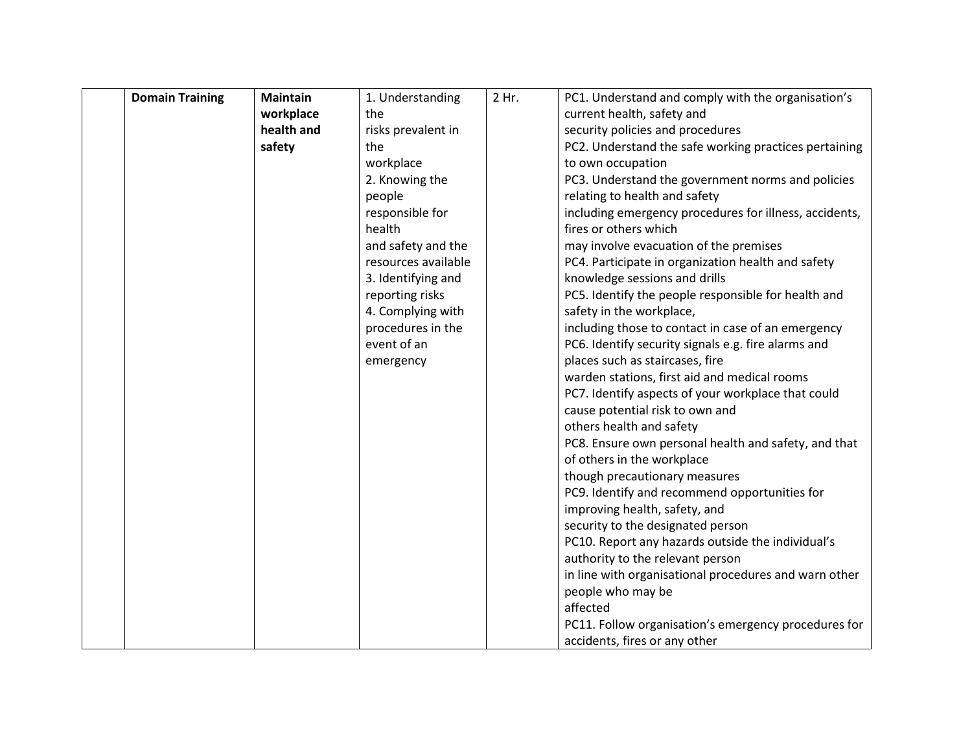| <b>Domain Training</b> | <b>Maintain</b> | 1. Understanding    | 2 Hr. | PC1. Understand and comply with the organisation's     |
|------------------------|-----------------|---------------------|-------|--------------------------------------------------------|
|                        | workplace       | the                 |       | current health, safety and                             |
|                        | health and      | risks prevalent in  |       | security policies and procedures                       |
|                        | safety          | the                 |       | PC2. Understand the safe working practices pertaining  |
|                        |                 | workplace           |       | to own occupation                                      |
|                        |                 | 2. Knowing the      |       | PC3. Understand the government norms and policies      |
|                        |                 | people              |       | relating to health and safety                          |
|                        |                 | responsible for     |       | including emergency procedures for illness, accidents, |
|                        |                 | health              |       | fires or others which                                  |
|                        |                 | and safety and the  |       | may involve evacuation of the premises                 |
|                        |                 | resources available |       | PC4. Participate in organization health and safety     |
|                        |                 | 3. Identifying and  |       | knowledge sessions and drills                          |
|                        |                 | reporting risks     |       | PC5. Identify the people responsible for health and    |
|                        |                 | 4. Complying with   |       | safety in the workplace,                               |
|                        |                 | procedures in the   |       | including those to contact in case of an emergency     |
|                        |                 | event of an         |       | PC6. Identify security signals e.g. fire alarms and    |
|                        |                 | emergency           |       | places such as staircases, fire                        |
|                        |                 |                     |       | warden stations, first aid and medical rooms           |
|                        |                 |                     |       | PC7. Identify aspects of your workplace that could     |
|                        |                 |                     |       | cause potential risk to own and                        |
|                        |                 |                     |       | others health and safety                               |
|                        |                 |                     |       | PC8. Ensure own personal health and safety, and that   |
|                        |                 |                     |       | of others in the workplace                             |
|                        |                 |                     |       | though precautionary measures                          |
|                        |                 |                     |       | PC9. Identify and recommend opportunities for          |
|                        |                 |                     |       | improving health, safety, and                          |
|                        |                 |                     |       | security to the designated person                      |
|                        |                 |                     |       | PC10. Report any hazards outside the individual's      |
|                        |                 |                     |       | authority to the relevant person                       |
|                        |                 |                     |       | in line with organisational procedures and warn other  |
|                        |                 |                     |       | people who may be<br>affected                          |
|                        |                 |                     |       |                                                        |
|                        |                 |                     |       | PC11. Follow organisation's emergency procedures for   |
|                        |                 |                     |       | accidents, fires or any other                          |